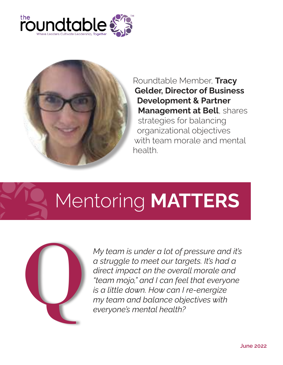



Roundtable Member, Tracy Gelder, Director of Business Development & Partner Management at Bell, shares strategies for balancing organizational objectives with team morale and mental health.

## Mentoring MATTERS



*My team is under a lot of pressure and it's a struggle to meet our targets. It's had a direct impact on the overall morale and "team mojo," and I can feel that everyone is a little down. How can I re-energize my team and balance objectives with everyone's mental health?*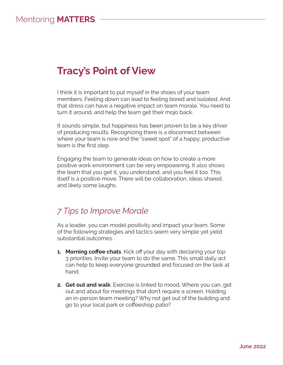## Tracy's Point of View

I think it is important to put myself in the shoes of your team members. Feeling down can lead to feeling bored and isolated. And that stress can have a negative impact on team morale. You need to turn it around, and help the team get their mojo back.

It sounds simple, but happiness has been proven to be a key driver of producing results. Recognizing there is a disconnect between where your team is now and the "sweet spot" of a happy, productive team is the first step.

Engaging the team to generate ideas on how to create a more positive work environment can be very empowering. It also shows the team that you get it, you understand, and you feel it too. This itself is a positive move. There will be collaboration, ideas shared, and likely some laughs.

## *7 Tips to Improve Morale*

As a leader, you can model positivity and impact your team. Some of the following strategies and tactics seem very simple yet yield substantial outcomes.

- **1. Morning coffee chats**. Kick off your day with declaring your top 3 priorities. Invite your team to do the same. This small daily act can help to keep everyone grounded and focused on the task at hand.
- **2. Get out and walk**. Exercise is linked to mood. Where you can, get out and about for meetings that don't require a screen. Holding an in-person team meeting? Why not get out of the building and go to your local park or coffeeshop patio?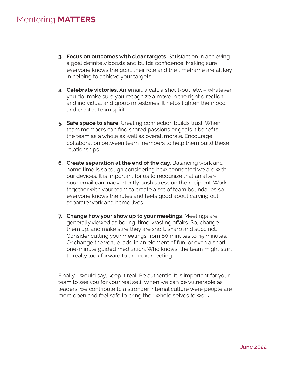- 3. Focus on outcomes with clear targets. Satisfaction in achieving a goal definitely boosts and builds confidence. Making sure everyone knows the goal, their role and the timeframe are all key in helping to achieve your targets.
- 4. Celebrate victories. An email, a call, a shout-out, etc. whatever you do, make sure you recognize a move in the right direction and individual and group milestones. It helps lighten the mood and creates team spirit.
- 5. Safe space to share. Creating connection builds trust. When team members can find shared passions or goals it benefits the team as a whole as well as overall morale. Encourage collaboration between team members to help them build these relationships.
- **6. Create separation at the end of the day**. Balancing work and home time is so tough considering how connected we are with our devices. It is important for us to recognize that an afterhour email can inadvertently push stress on the recipient. Work together with your team to create a set of team boundaries so everyone knows the rules and feels good about carving out separate work and home lives.
- **7. Change how your show up to your meetings.** Meetings are generally viewed as boring, time-wasting affairs. So, change them up, and make sure they are short, sharp and succinct. Consider cutting your meetings from 60 minutes to 45 minutes. Or change the venue, add in an element of fun, or even a short one-minute guided meditation. Who knows, the team might start to really look forward to the next meeting.

Finally, I would say, keep it real. Be authentic. It is important for your team to see you for your real self. When we can be vulnerable as leaders, we contribute to a stronger internal culture were people are more open and feel safe to bring their whole selves to work.